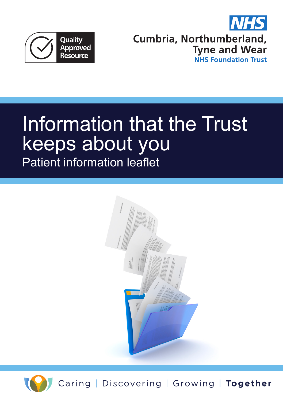



# Information that the Trust keeps about you Patient information leaflet





Caring | Discovering | Growing | Together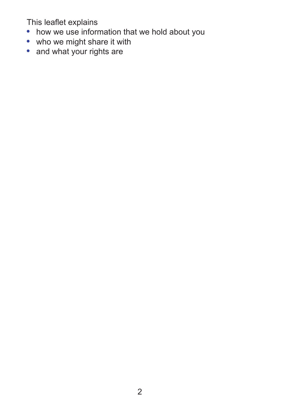This leaflet explains

- **•** how we use information that we hold about you
- **•** who we might share it with
- **•** and what your rights are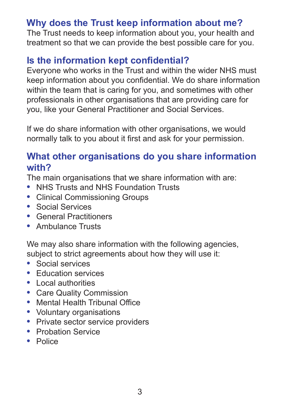## **Why does the Trust keep information about me?**

The Trust needs to keep information about you, your health and treatment so that we can provide the best possible care for you.

#### **Is the information kept confidential?**

Everyone who works in the Trust and within the wider NHS must keep information about you confidential. We do share information within the team that is caring for you, and sometimes with other professionals in other organisations that are providing care for you, like your General Practitioner and Social Services.

If we do share information with other organisations, we would normally talk to you about it first and ask for your permission.

#### **What other organisations do you share information with?**

The main organisations that we share information with are:

- **•** NHS Trusts and NHS Foundation Trusts
- **•** Clinical Commissioning Groups
- **•** Social Services
- **•** General Practitioners
- **•** Ambulance Trusts

We may also share information with the following agencies, subject to strict agreements about how they will use it:

- **•** Social services
- **•** Education services
- **•** Local authorities
- **•** Care Quality Commission
- **•** Mental Health Tribunal Office
- **•** Voluntary organisations
- **•** Private sector service providers
- **•** Probation Service
- **•** Police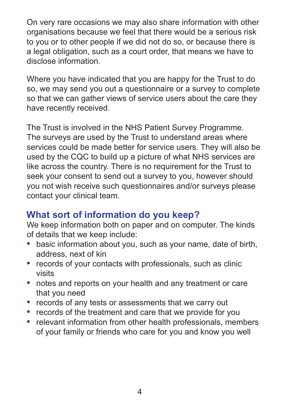On very rare occasions we may also share information with other organisations because we feel that there would be a serious risk to you or to other people if we did not do so, or because there is a legal obligation, such as a court order, that means we have to disclose information.

Where you have indicated that you are happy for the Trust to do so, we may send you out a questionnaire or a survey to complete so that we can gather views of service users about the care they have recently received.

The Trust is involved in the NHS Patient Survey Programme. The surveys are used by the Trust to understand areas where services could be made better for service users. They will also be used by the CQC to build up a picture of what NHS services are like across the country. There is no requirement for the Trust to seek your consent to send out a survey to you, however should you not wish receive such questionnaires and/or surveys please contact your clinical team.

# **What sort of information do you keep?**

We keep information both on paper and on computer. The kinds of details that we keep include:

- **•** basic information about you, such as your name, date of birth, address, next of kin
- **•** records of your contacts with professionals, such as clinic visits
- **•** notes and reports on your health and any treatment or care that you need
- **•** records of any tests or assessments that we carry out
- **•** records of the treatment and care that we provide for you
- **•** relevant information from other health professionals, members of your family or friends who care for you and know you well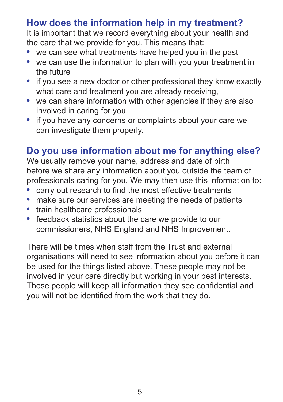## **How does the information help in my treatment?**

It is important that we record everything about your health and the care that we provide for you. This means that:

- **•** we can see what treatments have helped you in the past
- **•** we can use the information to plan with you your treatment in the future
- if you see a new doctor or other professional they know exactly what care and treatment you are already receiving,
- **•** we can share information with other agencies if they are also involved in caring for you.
- **•** if you have any concerns or complaints about your care we can investigate them properly.

#### **Do you use information about me for anything else?**

We usually remove your name, address and date of birth before we share any information about you outside the team of professionals caring for you. We may then use this information to:

- **•** carry out research to find the most effective treatments
- **•** make sure our services are meeting the needs of patients
- **•** train healthcare professionals
- **•** feedback statistics about the care we provide to our commissioners, NHS England and NHS Improvement.

There will be times when staff from the Trust and external organisations will need to see information about you before it can be used for the things listed above. These people may not be involved in your care directly but working in your best interests. These people will keep all information they see confidential and you will not be identified from the work that they do.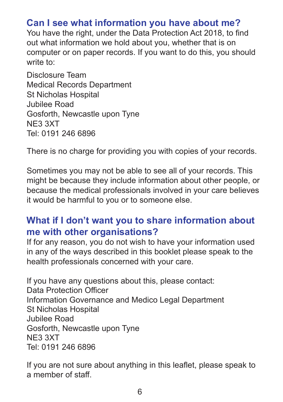## **Can I see what information you have about me?**

You have the right, under the Data Protection Act 2018, to find out what information we hold about you, whether that is on computer or on paper records. If you want to do this, you should write to:

Disclosure Team Medical Records Department St Nicholas Hospital Jubilee Road Gosforth, Newcastle upon Tyne NE3 3XT Tel: 0191 246 6896

There is no charge for providing you with copies of your records.

Sometimes you may not be able to see all of your records. This might be because they include information about other people, or because the medical professionals involved in your care believes it would be harmful to you or to someone else.

#### **What if I don't want you to share information about me with other organisations?**

If for any reason, you do not wish to have your information used in any of the ways described in this booklet please speak to the health professionals concerned with your care.

If you have any questions about this, please contact: Data Protection Officer Information Governance and Medico Legal Department St Nicholas Hospital Jubilee Road Gosforth, Newcastle upon Tyne NE3 3XT Tel: 0191 246 6896

If you are not sure about anything in this leaflet, please speak to a member of staff.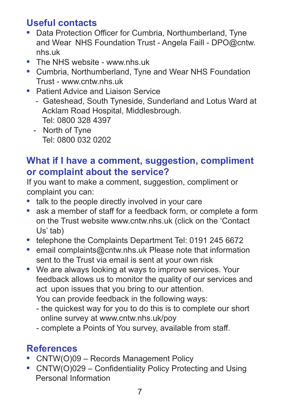## **Useful contacts**

- **•** Data Protection Officer for Cumbria, Northumberland, Tyne and Wear NHS Foundation Trust - Angela Faill - DPO@cntw. nhs.uk
- The NHS website www nhs uk
- **•** Cumbria, Northumberland, Tyne and Wear NHS Foundation Trust - www.cntw.nhs.uk
- **•** Patient Advice and Liaison Service
	- Gateshead, South Tyneside, Sunderland and Lotus Ward at Acklam Road Hospital, Middlesbrough. Tel: 0800 328 4397
	- North of Tyne Tel: 0800 032 0202

## **What if I have a comment, suggestion, compliment or complaint about the service?**

If you want to make a comment, suggestion, compliment or complaint you can:

- **•** talk to the people directly involved in your care
- **•** ask a member of staff for a feedback form, or complete a form on the Trust website www.cntw.nhs.uk (click on the 'Contact Us' tab)
- **•** telephone the Complaints Department Tel: 0191 245 6672
- **•** email complaints@cntw.nhs.uk Please note that information sent to the Trust via email is sent at your own risk
- **•** We are always looking at ways to improve services. Your feedback allows us to monitor the quality of our services and act upon issues that you bring to our attention.

You can provide feedback in the following ways:

- the quickest way for you to do this is to complete our short online survey at www.cntw.nhs.uk/poy
- complete a Points of You survey, available from staff.

# **References**

- **•** CNTW(O)09 Records Management Policy
- **•** CNTW(O)029 Confidentiality Policy Protecting and Using Personal Information